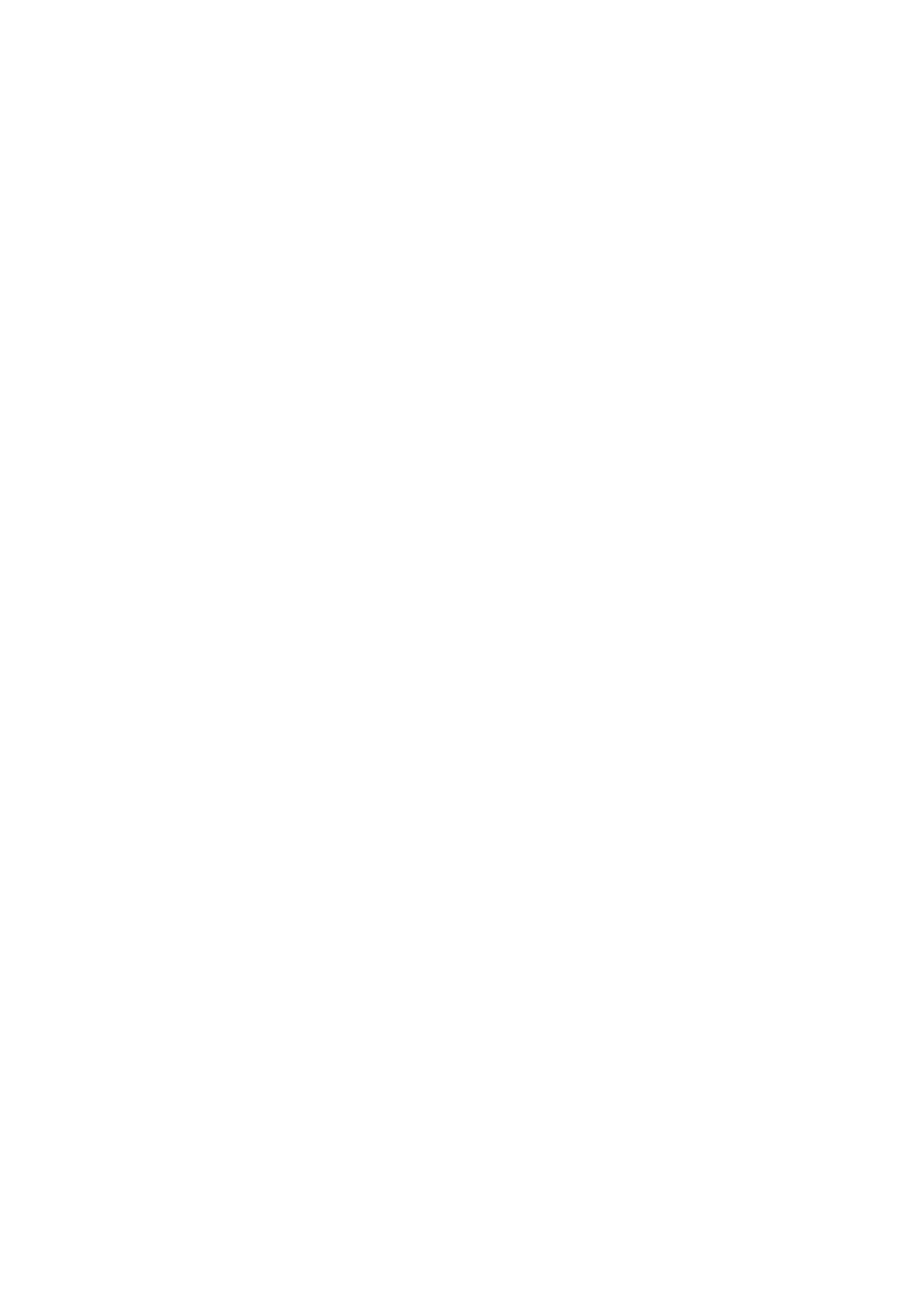## **KPMG Auditores, S.L.**

Torre Realia Plaça d'Europa, 41 08908 L'Hospitalet de Llobregat Barcelona

## **Auditors' Report on the Annual Accounts**

(Translation from the original in Spanish. In the event of discrepancy, the Spanish-language version prevails.)

To the sole shareholder of Laboratorios Ranbaxy, S.L. (Sociedad Unipersonal

1.We have audited the annual accounts of Laboratorios Ranbaxy, S.L.("the Company"), which comprise the balance sheet at 31 December 2013, the income statement, statement of changes in equity and statement of cash flows for the year then ended, and notes. The Directors are responsible for the preparation of these annual accounts in accordance with the financial reporting framework applicable to the entity, specified in note 2 to the accompanying annual accounts and, in particular, with the accounting principles and criteria set forth therein. Our responsibility is to express an opinion on these annual accounts taken as a whole, based on our audit. Except for the matters describe in paragraphs 2 and 3, we conducted our audit in accordance with prevailing legislation regulating the audit of accounts in Spain, which requires examining, on a test basis, evidence supporting the amounts and disclosures in the annual accounts and evaluating whether their overall presentation, the accounting principles and criteria used and the accounting estimates made comply with the applicable financial reporting framework.

2.The Company has recognised goodwill with a carrying amount of Euros 3,838,674 under intangible assets in the balance sheet at 31 December 2012. This goodwill arose on the merger by absorption in 2007 described in note 1 to the accompanying annual accounts, which has been fully impaired in 2013. As the Company did not provide us with financial budgets or projections that would have enabled us to evaluate the recoverability of this goodwill at the end of the prior year, causing our auditors' report on the accounts for the year ended 31 December 2012 to be qualified in this respect, we are unable to conclude as to the reasonableness of the impairment recognised in the income statement for 2013, which could have been necessary to recognise in prior years.

3.As specified in note 13 to the accompanying annual accounts, current provisions at 31December 2013 include Euros 366,930 corresponding to a provision for returns calculated based on the application of generic percentages to sales for the year then ended. In this respect, due to the change in the business model in 2013 described in note 2 to the annual accounts, the Company does not have sufficient historical information to enable us to conclude as to the reasonableness of the key assumptions used to calculate this provision.

4.The accompanying annual accounts do not include details of interests held by the directors and their related parties in companies with identical, similar or complementary statutory activities to that of the Company and positions held, as well as any duties and activities performed in such companies, in accordance with prevailing legislation. The notes to the annual accounts also fail to disclose all the information required by prevailing legislation regarding late payments to suppliers. Our audit opinion on the annual accounts for the year ended 31 December 2012 was also qualified in this respect.